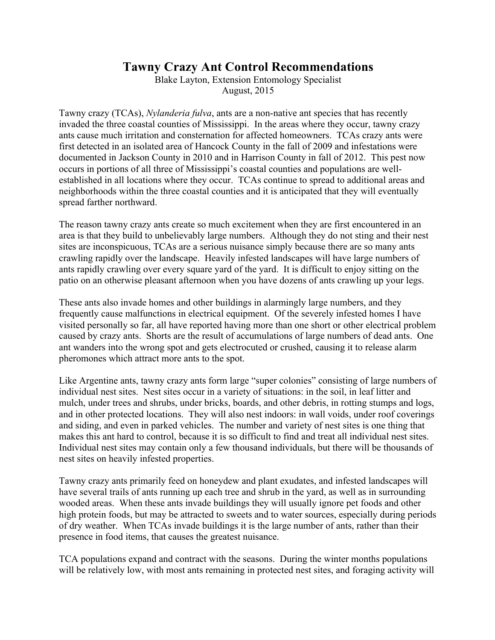# **Tawny Crazy Ant Control Recommendations**

Blake Layton, Extension Entomology Specialist August, 2015

Tawny crazy (TCAs), *Nylanderia fulva*, ants are a non-native ant species that has recently invaded the three coastal counties of Mississippi. In the areas where they occur, tawny crazy ants cause much irritation and consternation for affected homeowners. TCAs crazy ants were first detected in an isolated area of Hancock County in the fall of 2009 and infestations were documented in Jackson County in 2010 and in Harrison County in fall of 2012. This pest now occurs in portions of all three of Mississippi's coastal counties and populations are wellestablished in all locations where they occur. TCAs continue to spread to additional areas and neighborhoods within the three coastal counties and it is anticipated that they will eventually spread farther northward.

The reason tawny crazy ants create so much excitement when they are first encountered in an area is that they build to unbelievably large numbers. Although they do not sting and their nest sites are inconspicuous, TCAs are a serious nuisance simply because there are so many ants crawling rapidly over the landscape. Heavily infested landscapes will have large numbers of ants rapidly crawling over every square yard of the yard. It is difficult to enjoy sitting on the patio on an otherwise pleasant afternoon when you have dozens of ants crawling up your legs.

These ants also invade homes and other buildings in alarmingly large numbers, and they frequently cause malfunctions in electrical equipment. Of the severely infested homes I have visited personally so far, all have reported having more than one short or other electrical problem caused by crazy ants. Shorts are the result of accumulations of large numbers of dead ants. One ant wanders into the wrong spot and gets electrocuted or crushed, causing it to release alarm pheromones which attract more ants to the spot.

Like Argentine ants, tawny crazy ants form large "super colonies" consisting of large numbers of individual nest sites. Nest sites occur in a variety of situations: in the soil, in leaf litter and mulch, under trees and shrubs, under bricks, boards, and other debris, in rotting stumps and logs, and in other protected locations. They will also nest indoors: in wall voids, under roof coverings and siding, and even in parked vehicles. The number and variety of nest sites is one thing that makes this ant hard to control, because it is so difficult to find and treat all individual nest sites. Individual nest sites may contain only a few thousand individuals, but there will be thousands of nest sites on heavily infested properties.

Tawny crazy ants primarily feed on honeydew and plant exudates, and infested landscapes will have several trails of ants running up each tree and shrub in the yard, as well as in surrounding wooded areas. When these ants invade buildings they will usually ignore pet foods and other high protein foods, but may be attracted to sweets and to water sources, especially during periods of dry weather. When TCAs invade buildings it is the large number of ants, rather than their presence in food items, that causes the greatest nuisance.

TCA populations expand and contract with the seasons. During the winter months populations will be relatively low, with most ants remaining in protected nest sites, and foraging activity will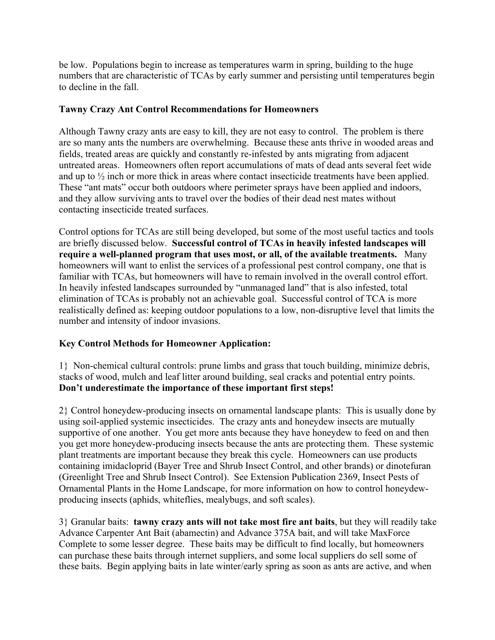be low. Populations begin to increase as temperatures warm in spring, building to the huge numbers that are characteristic of TCAs by early summer and persisting until temperatures begin to decline in the fall.

## **Tawny Crazy Ant Control Recommendations for Homeowners**

Although Tawny crazy ants are easy to kill, they are not easy to control. The problem is there are so many ants the numbers are overwhelming. Because these ants thrive in wooded areas and fields, treated areas are quickly and constantly re-infested by ants migrating from adjacent untreated areas. Homeowners often report accumulations of mats of dead ants several feet wide and up to ½ inch or more thick in areas where contact insecticide treatments have been applied. These "ant mats" occur both outdoors where perimeter sprays have been applied and indoors, and they allow surviving ants to travel over the bodies of their dead nest mates without contacting insecticide treated surfaces.

Control options for TCAs are still being developed, but some of the most useful tactics and tools are briefly discussed below. **Successful control of TCAs in heavily infested landscapes will require a well-planned program that uses most, or all, of the available treatments.** Many homeowners will want to enlist the services of a professional pest control company, one that is familiar with TCAs, but homeowners will have to remain involved in the overall control effort. In heavily infested landscapes surrounded by "unmanaged land" that is also infested, total elimination of TCAs is probably not an achievable goal. Successful control of TCA is more realistically defined as: keeping outdoor populations to a low, non-disruptive level that limits the number and intensity of indoor invasions.

## **Key Control Methods for Homeowner Application:**

1} Non-chemical cultural controls: prune limbs and grass that touch building, minimize debris, stacks of wood, mulch and leaf litter around building, seal cracks and potential entry points. **Don't underestimate the importance of these important first steps!**

2} Control honeydew-producing insects on ornamental landscape plants: This is usually done by using soil-applied systemic insecticides. The crazy ants and honeydew insects are mutually supportive of one another. You get more ants because they have honeydew to feed on and then you get more honeydew-producing insects because the ants are protecting them. These systemic plant treatments are important because they break this cycle. Homeowners can use products containing imidacloprid (Bayer Tree and Shrub Insect Control, and other brands) or dinotefuran (Greenlight Tree and Shrub Insect Control). See Extension Publication 2369, Insect Pests of Ornamental Plants in the Home Landscape, for more information on how to control honeydewproducing insects (aphids, whiteflies, mealybugs, and soft scales).

3} Granular baits: **tawny crazy ants will not take most fire ant baits**, but they will readily take Advance Carpenter Ant Bait (abamectin) and Advance 375A bait, and will take MaxForce Complete to some lesser degree. These baits may be difficult to find locally, but homeowners can purchase these baits through internet suppliers, and some local suppliers do sell some of these baits. Begin applying baits in late winter/early spring as soon as ants are active, and when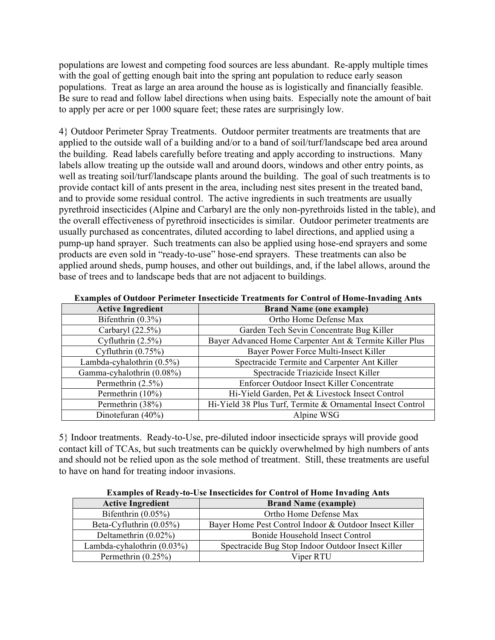populations are lowest and competing food sources are less abundant. Re-apply multiple times with the goal of getting enough bait into the spring ant population to reduce early season populations. Treat as large an area around the house as is logistically and financially feasible. Be sure to read and follow label directions when using baits. Especially note the amount of bait to apply per acre or per 1000 square feet; these rates are surprisingly low.

4} Outdoor Perimeter Spray Treatments. Outdoor permiter treatments are treatments that are applied to the outside wall of a building and/or to a band of soil/turf/landscape bed area around the building. Read labels carefully before treating and apply according to instructions. Many labels allow treating up the outside wall and around doors, windows and other entry points, as well as treating soil/turf/landscape plants around the building. The goal of such treatments is to provide contact kill of ants present in the area, including nest sites present in the treated band, and to provide some residual control. The active ingredients in such treatments are usually pyrethroid insecticides (Alpine and Carbaryl are the only non-pyrethroids listed in the table), and the overall effectiveness of pyrethroid insecticides is similar. Outdoor perimeter treatments are usually purchased as concentrates, diluted according to label directions, and applied using a pump-up hand sprayer. Such treatments can also be applied using hose-end sprayers and some products are even sold in "ready-to-use" hose-end sprayers. These treatments can also be applied around sheds, pump houses, and other out buildings, and, if the label allows, around the base of trees and to landscape beds that are not adjacent to buildings.

| <b>Active Ingredient</b>     | <b>Brand Name (one example)</b>                            |
|------------------------------|------------------------------------------------------------|
| Bifenthrin $(0.3\%)$         | Ortho Home Defense Max                                     |
| Carbaryl $(22.5\%)$          | Garden Tech Sevin Concentrate Bug Killer                   |
| Cyfluthrin $(2.5\%)$         | Bayer Advanced Home Carpenter Ant & Termite Killer Plus    |
| Cyfluthrin $(0.75\%)$        | Bayer Power Force Multi-Insect Killer                      |
| Lambda-cyhalothrin $(0.5\%)$ | Spectracide Termite and Carpenter Ant Killer               |
| Gamma-cyhalothrin (0.08%)    | Spectracide Triazicide Insect Killer                       |
| Permethrin $(2.5\%)$         | Enforcer Outdoor Insect Killer Concentrate                 |
| Permethrin $(10\%)$          | Hi-Yield Garden, Pet & Livestock Insect Control            |
| Permethrin (38%)             | Hi-Yield 38 Plus Turf, Termite & Ornamental Insect Control |
| Dinotefuran $(40\%)$         | Alpine WSG                                                 |

**Examples of Outdoor Perimeter Insecticide Treatments for Control of Home-Invading Ants**

5} Indoor treatments. Ready-to-Use, pre-diluted indoor insecticide sprays will provide good contact kill of TCAs, but such treatments can be quickly overwhelmed by high numbers of ants and should not be relied upon as the sole method of treatment. Still, these treatments are useful to have on hand for treating indoor invasions.

| EXAMPICS OF INTROVATO OST HISTORICAL STOLE COMETOR OF HOME THYRRHIM THUS |                                                        |
|--------------------------------------------------------------------------|--------------------------------------------------------|
| <b>Active Ingredient</b>                                                 | <b>Brand Name (example)</b>                            |
| Bifenthrin $(0.05\%)$                                                    | Ortho Home Defense Max                                 |
| Beta-Cyfluthrin $(0.05\%)$                                               | Bayer Home Pest Control Indoor & Outdoor Insect Killer |
| Deltamethrin $(0.02\%)$                                                  | Bonide Household Insect Control                        |
| Lambda-cyhalothrin $(0.03\%)$                                            | Spectracide Bug Stop Indoor Outdoor Insect Killer      |
| Permethrin $(0.25\%)$                                                    | Viper RTU                                              |

**Examples of Ready-to-Use Insecticides for Control of Home Invading Ants**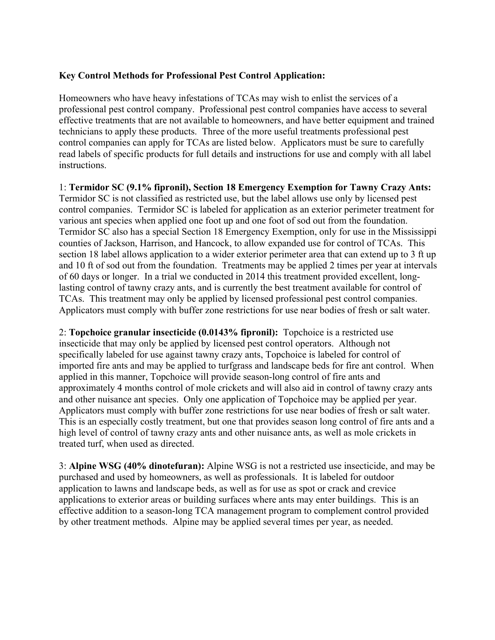### **Key Control Methods for Professional Pest Control Application:**

Homeowners who have heavy infestations of TCAs may wish to enlist the services of a professional pest control company. Professional pest control companies have access to several effective treatments that are not available to homeowners, and have better equipment and trained technicians to apply these products. Three of the more useful treatments professional pest control companies can apply for TCAs are listed below. Applicators must be sure to carefully read labels of specific products for full details and instructions for use and comply with all label instructions.

1: **Termidor SC (9.1% fipronil), Section 18 Emergency Exemption for Tawny Crazy Ants:** Termidor SC is not classified as restricted use, but the label allows use only by licensed pest control companies. Termidor SC is labeled for application as an exterior perimeter treatment for various ant species when applied one foot up and one foot of sod out from the foundation. Termidor SC also has a special Section 18 Emergency Exemption, only for use in the Mississippi counties of Jackson, Harrison, and Hancock, to allow expanded use for control of TCAs. This section 18 label allows application to a wider exterior perimeter area that can extend up to 3 ft up and 10 ft of sod out from the foundation. Treatments may be applied 2 times per year at intervals of 60 days or longer. In a trial we conducted in 2014 this treatment provided excellent, longlasting control of tawny crazy ants, and is currently the best treatment available for control of TCAs. This treatment may only be applied by licensed professional pest control companies. Applicators must comply with buffer zone restrictions for use near bodies of fresh or salt water.

2: **Topchoice granular insecticide (0.0143% fipronil):** Topchoice is a restricted use insecticide that may only be applied by licensed pest control operators. Although not specifically labeled for use against tawny crazy ants, Topchoice is labeled for control of imported fire ants and may be applied to turfgrass and landscape beds for fire ant control. When applied in this manner, Topchoice will provide season-long control of fire ants and approximately 4 months control of mole crickets and will also aid in control of tawny crazy ants and other nuisance ant species. Only one application of Topchoice may be applied per year. Applicators must comply with buffer zone restrictions for use near bodies of fresh or salt water. This is an especially costly treatment, but one that provides season long control of fire ants and a high level of control of tawny crazy ants and other nuisance ants, as well as mole crickets in treated turf, when used as directed.

3: **Alpine WSG (40% dinotefuran):** Alpine WSG is not a restricted use insecticide, and may be purchased and used by homeowners, as well as professionals. It is labeled for outdoor application to lawns and landscape beds, as well as for use as spot or crack and crevice applications to exterior areas or building surfaces where ants may enter buildings. This is an effective addition to a season-long TCA management program to complement control provided by other treatment methods. Alpine may be applied several times per year, as needed.